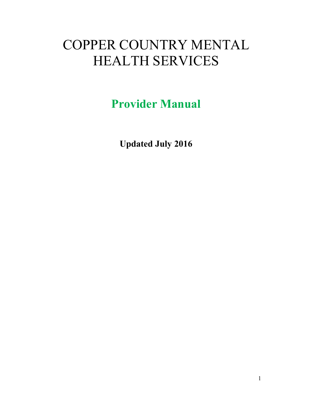# COPPER COUNTRY MENTAL HEALTH SERVICES

Provider Manual

Updated July 2016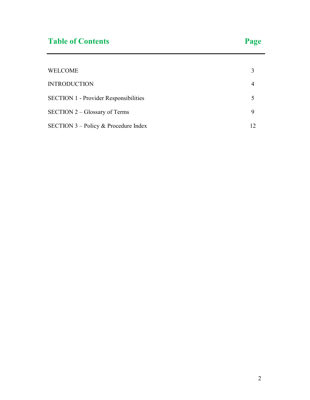| <b>WELCOME</b>                               |  |
|----------------------------------------------|--|
| <b>INTRODUCTION</b>                          |  |
| <b>SECTION 1 - Provider Responsibilities</b> |  |
| $SECTION 2 - Glossary of Terms$              |  |
| SECTION $3$ – Policy & Procedure Index       |  |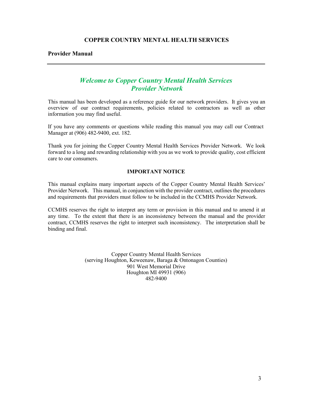#### COPPER COUNTRY MENTAL HEALTH SERVICES

Provider Manual

### Welcome to Copper Country Mental Health Services Provider Network

This manual has been developed as a reference guide for our network providers. It gives you an overview of our contract requirements, policies related to contractors as well as other information you may find useful.

If you have any comments or questions while reading this manual you may call our Contract Manager at (906) 482-9400, ext. 182.

Thank you for joining the Copper Country Mental Health Services Provider Network. We look forward to a long and rewarding relationship with you as we work to provide quality, cost efficient care to our consumers.

#### IMPORTANT NOTICE

This manual explains many important aspects of the Copper Country Mental Health Services' Provider Network. This manual, in conjunction with the provider contract, outlines the procedures and requirements that providers must follow to be included in the CCMHS Provider Network.

CCMHS reserves the right to interpret any term or provision in this manual and to amend it at any time. To the extent that there is an inconsistency between the manual and the provider contract, CCMHS reserves the right to interpret such inconsistency. The interpretation shall be binding and final.

> Copper Country Mental Health Services (serving Houghton, Keweenaw, Baraga & Ontonagon Counties) 901 West Memorial Drive Houghton MI 49931 (906) 482-9400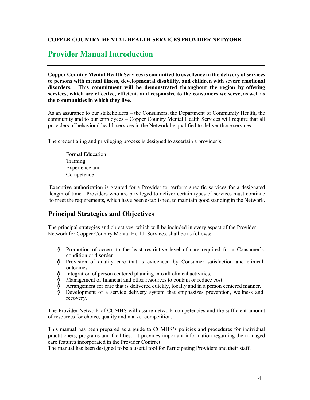#### COPPER COUNTRY MENTAL HEALTH SERVICES PROVIDER NETWORK

### Provider Manual Introduction

Copper Country Mental Health Services is committed to excellence in the delivery of services to persons with mental illness, developmental disability, and children with severe emotional disorders. This commitment will be demonstrated throughout the region by offering services, which are effective, efficient, and responsive to the consumers we serve, as well as the communities in which they live.

As an assurance to our stakeholders – the Consumers, the Department of Community Health, the community and to our employees – Copper Country Mental Health Services will require that all providers of behavioral health services in the Network be qualified to deliver those services.

The credentialing and privileging process is designed to ascertain a provider's:

- Formal Education
- Training
- Experience and
- Competence

Executive authorization is granted for a Provider to perform specific services for a designated length of time. Providers who are privileged to deliver certain types of services must continue to meet the requirements, which have been established, to maintain good standing in the Network.

### Principal Strategies and Objectives

The principal strategies and objectives, which will be included in every aspect of the Provider Network for Copper Country Mental Health Services, shall be as follows:

- ₫. Promotion of access to the least restrictive level of care required for a Consumer's condition or disorder.
- √¦ Provision of quality care that is evidenced by Consumer satisfaction and clinical outcomes.
- Integration of person centered planning into all clinical activities.
- Management of financial and other resources to contain or reduce cost.
- Arrangement for care that is delivered quickly, locally and in a person centered manner.
- Development of a service delivery system that emphasizes prevention, wellness and recovery.

The Provider Network of CCMHS will assure network competencies and the sufficient amount of resources for choice, quality and market competition.

This manual has been prepared as a guide to CCMHS's policies and procedures for individual practitioners, programs and facilities. It provides important information regarding the managed care features incorporated in the Provider Contract.

The manual has been designed to be a useful tool for Participating Providers and their staff.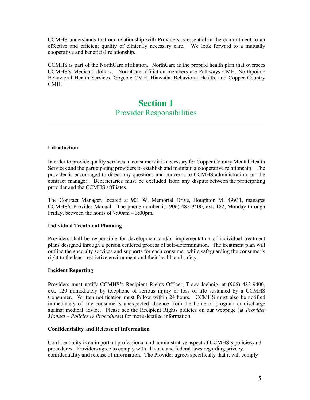CCMHS understands that our relationship with Providers is essential in the commitment to an effective and efficient quality of clinically necessary care. We look forward to a mutually cooperative and beneficial relationship.

CCMHS is part of the NorthCare affiliation. NorthCare is the prepaid health plan that oversees CCMHS's Medicaid dollars. NorthCare affiliation members are Pathways CMH, Northpointe Behavioral Health Services, Gogebic CMH, Hiawatha Behavioral Health, and Copper Country CMH.

### Section 1 Provider Responsibilities

#### Introduction

In order to provide quality services to consumers it is necessary for Copper Country Mental Health Services and the participating providers to establish and maintain a cooperative relationship. The provider is encouraged to direct any questions and concerns to CCMHS administration or the contract manager. Beneficiaries must be excluded from any dispute between the participating provider and the CCMHS affiliates.

The Contract Manager, located at 901 W. Memorial Drive, Houghton MI 49931, manages CCMHS's Provider Manual. The phone number is (906) 482-9400, ext. 182, Monday through Friday, between the hours of 7:00am – 3:00pm.

#### Individual Treatment Planning

Providers shall be responsible for development and/or implementation of individual treatment plans designed through a person centered process of self-determination. The treatment plan will outline the specialty services and supports for each consumer while safeguarding the consumer's right to the least restrictive environment and their health and safety.

#### Incident Reporting

Providers must notify CCMHS's Recipient Rights Officer, Tracy Jaehnig, at (906) 482-9400, ext. 120 immediately by telephone of serious injury or loss of life sustained by a CCMHS Consumer. Written notification must follow within 24 hours. CCMHS must also be notified immediately of any consumer's unexpected absence from the home or program or discharge against medical advice. Please see the Recipient Rights policies on our webpage (at Provider Manual – Policies & Procedures) for more detailed information.

#### Confidentiality and Release of Information

Confidentiality is an important professional and administrative aspect of CCMHS's policies and procedures. Providers agree to comply with all state and federal laws regarding privacy, confidentiality and release of information. The Provider agrees specifically that it will comply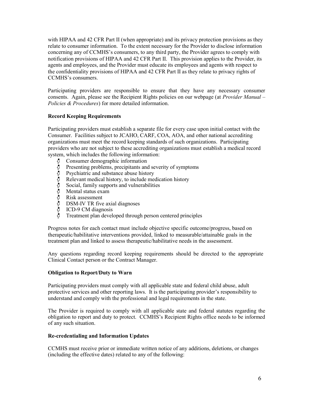with HIPAA and 42 CFR Part II (when appropriate) and its privacy protection provisions as they relate to consumer information. To the extent necessary for the Provider to disclose information concerning any of CCMHS's consumers, to any third party, the Provider agrees to comply with notification provisions of HIPAA and 42 CFR Part II. This provision applies to the Provider, its agents and employees, and the Provider must educate its employees and agents with respect to the confidentiality provisions of HIPAA and 42 CFR Part II as they relate to privacy rights of CCMHS's consumers.

Participating providers are responsible to ensure that they have any necessary consumer consents. Again, please see the Recipient Rights policies on our webpage (at *Provider Manual –* Policies & Procedures) for more detailed information.

#### Record Keeping Requirements

Participating providers must establish a separate file for every case upon initial contact with the Consumer. Facilities subject to JCAHO, CARF, COA, AOA, and other national accrediting organizations must meet the record keeping standards of such organizations. Participating providers who are not subject to these accrediting organizations must establish a medical record system, which includes the following information:

- Consumer demographic information
- Presenting problems, precipitants and severity of symptoms
- しゅうしょうしょう Psychiatric and substance abuse history
- Relevant medical history, to include medication history
- Social, family supports and vulnerabilities
- Mental status exam
- Risk assessment
- DSM-IV TR five axial diagnoses
- ICD-9 CM diagnosis
- Treatment plan developed through person centered principles

Progress notes for each contact must include objective specific outcome/progress, based on therapeutic/habilitative interventions provided, linked to measurable/attainable goals in the treatment plan and linked to assess therapeutic/habilitative needs in the assessment.

Any questions regarding record keeping requirements should be directed to the appropriate Clinical Contact person or the Contract Manager.

#### Obligation to Report/Duty to Warn

Participating providers must comply with all applicable state and federal child abuse, adult protective services and other reporting laws. It is the participating provider's responsibility to understand and comply with the professional and legal requirements in the state.

The Provider is required to comply with all applicable state and federal statutes regarding the obligation to report and duty to protect. CCMHS's Recipient Rights office needs to be informed of any such situation.

#### Re-credentialing and Information Updates

CCMHS must receive prior or immediate written notice of any additions, deletions, or changes (including the effective dates) related to any of the following: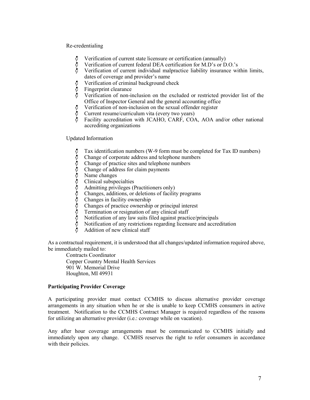#### Re-credentialing

- Verification of current state licensure or certification (annually)
- Verification of current federal DEA certification for M.D's or D.O.'s
- ှ<br>ပုံ Verification of current individual malpractice liability insurance within limits, dates of coverage and provider's name
- $\phi$ Verification of criminal background check
- Fingerprint clearance
- Verification of non-inclusion on the excluded or restricted provider list of the Office of Inspector General and the general accounting office
- ₫ Verification of non-inclusion on the sexual offender register
- Current resume/curriculum vita (every two years)
- Facility accreditation with JCAHO, CARF, COA, AOA and/or other national accrediting organizations

#### Updated Information

- Tax identification numbers (W-9 form must be completed for Tax ID numbers)
- Change of corporate address and telephone numbers
- Change of practice sites and telephone numbers
- Change of address for claim payments
- Name changes
- Clinical subspecialties
- Admitting privileges (Practitioners only)
- Changes, additions, or deletions of facility programs
- Changes in facility ownership
- Changes of practice ownership or principal interest
- Termination or resignation of any clinical staff
- Notification of any law suits filed against practice/principals
- Notification of any restrictions regarding licensure and accreditation
- Addition of new clinical staff

As a contractual requirement, it is understood that all changes/updated information required above, be immediately mailed to:

Contracts Coordinator Copper Country Mental Health Services 901 W. Memorial Drive Houghton, MI 49931

#### Participating Provider Coverage

A participating provider must contact CCMHS to discuss alternative provider coverage arrangements in any situation when he or she is unable to keep CCMHS consumers in active treatment. Notification to the CCMHS Contract Manager is required regardless of the reasons for utilizing an alternative provider (i.e.: coverage while on vacation).

Any after hour coverage arrangements must be communicated to CCMHS initially and immediately upon any change. CCMHS reserves the right to refer consumers in accordance with their policies.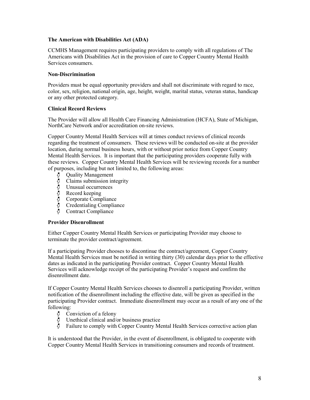#### The American with Disabilities Act (ADA)

CCMHS Management requires participating providers to comply with all regulations of The Americans with Disabilities Act in the provision of care to Copper Country Mental Health Services consumers.

#### Non-Discrimination

Providers must be equal opportunity providers and shall not discriminate with regard to race, color, sex, religion, national origin, age, height, weight, marital status, veteran status, handicap or any other protected category.

#### Clinical Record Reviews

The Provider will allow all Health Care Financing Administration (HCFA), State of Michigan, NorthCare Network and/or accreditation on-site reviews.

Copper Country Mental Health Services will at times conduct reviews of clinical records regarding the treatment of consumers. These reviews will be conducted on-site at the provider location, during normal business hours, with or without prior notice from Copper Country Mental Health Services. It is important that the participating providers cooperate fully with these reviews. Copper Country Mental Health Services will be reviewing records for a number of purposes, including but not limited to, the following areas:

- Quality Management
- Claims submission integrity
- Unusual occurrences
- Record keeping
- Corporate Compliance
- やややややや Credentialing Compliance
- Contract Compliance

#### Provider Disenrollment

Either Copper Country Mental Health Services or participating Provider may choose to terminate the provider contract/agreement.

If a participating Provider chooses to discontinue the contract/agreement, Copper Country Mental Health Services must be notified in writing thirty (30) calendar days prior to the effective dates as indicated in the participating Provider contract. Copper Country Mental Health Services will acknowledge receipt of the participating Provider's request and confirm the disenrollment date.

If Copper Country Mental Health Services chooses to disenroll a participating Provider, written notification of the disenrollment including the effective date, will be given as specified in the participating Provider contract. Immediate disenrollment may occur as a result of any one of the following:

- Conviction of a felony ∜
- Unethical clinical and/or business practice
- Failure to comply with Copper Country Mental Health Services corrective action plan

It is understood that the Provider, in the event of disenrollment, is obligated to cooperate with Copper Country Mental Health Services in transitioning consumers and records of treatment.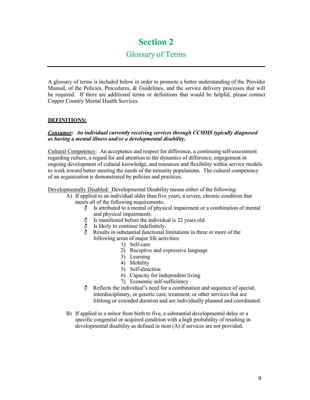# Section 2

### Glossary of Terms

A glossary of terms is included below in order to promote a better understanding of the Provider Manual, of the Policies, Procedures, & Guidelines, and the service delivery processes that will be required. If there are additional terms or definitions that would be helpful, please contact Copper Country Mental Health Services.

#### DEFINITIONS:

#### Consumer: An individual currently receiving services through CCMHS typically diagnosed as having a mental illness and/or a developmental disability.

Cultural Competency: An acceptance and respect for difference, a continuing self-assessment regarding culture, a regard for and attention to the dynamics of difference, engagement in ongoing development of cultural knowledge, and resources and flexibility within service models to work toward better meeting the needs of the minority populations. The cultural competency of an organization is demonstrated by policies and practices.

Developmentally Disabled: Developmental Disability means either of the following:

- A) If applied to an individual older than five years, a severe, chronic condition that meets all of the following requirements;
	- Ð Is attributed to a mental of physical impairment or a combination of mental and physical impairments.
	- Is manifested before the individual is 22 years old.
	- Is likely to continue indefinitely.
	- Results in substantial functional limitations in three or more of the following areas of major life activities:
		- 1) Self-care
		- 2) Receptive and expressive language
		- 3) Learning
		- 4) Mobility
		- 5) Self-direction
		- 6) Capacity for independent living
		- 7) Economic self-sufficiency
	- Reflects the individual's need for a combination and sequence of special, interdisciplinary, or generic care, treatment, or other services that are lifelong or extended duration and are individually planned and coordinated.
- B) If applied to a minor from birth to five, a substantial developmental delay or a specific congenital or acquired condition with a high probability of resulting in developmental disability as defined in item (A) if services are not provided.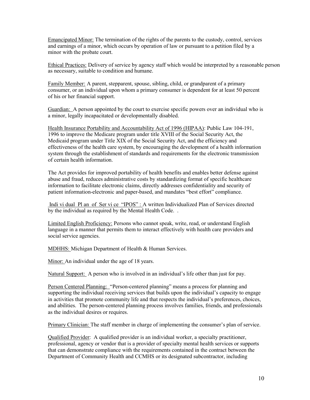Emancipated Minor: The termination of the rights of the parents to the custody, control, services and earnings of a minor, which occurs by operation of law or pursuant to a petition filed by a minor with the probate court.

Ethical Practices: Delivery of service by agency staff which would be interpreted by a reasonable person as necessary, suitable to condition and humane.

Family Member: A parent, stepparent, spouse, sibling, child, or grandparent of a primary consumer, or an individual upon whom a primary consumer is dependent for at least 50 percent of his or her financial support.

Guardian: A person appointed by the court to exercise specific powers over an individual who is a minor, legally incapacitated or developmentally disabled.

Health Insurance Portability and Accountability Act of 1996 (HIPAA): Public Law 104-191, 1996 to improve the Medicare program under title XVIII of the Social Security Act, the Medicaid program under Title XIX of the Social Security Act, and the efficiency and effectiveness of the health care system, by encouraging the development of a health information system through the establishment of standards and requirements for the electronic transmission of certain health information.

The Act provides for improved portability of health benefits and enables better defense against abuse and fraud, reduces administrative costs by standardizing format of specific healthcare information to facilitate electronic claims, directly addresses confidentiality and security of patient information-electronic and paper-based, and mandates "best effort" compliance.

 Indi vi dual Pl an of Ser vi ce "IPOS" : A written Individualized Plan of Services directed by the individual as required by the Mental Health Code. .

Limited English Proficiency: Persons who cannot speak, write, read, or understand English language in a manner that permits them to interact effectively with health care providers and social service agencies.

MDHHS: Michigan Department of Health & Human Services.

Minor: An individual under the age of 18 years.

Natural Support: A person who is involved in an individual's life other than just for pay.

Person Centered Planning: "Person-centered planning" means a process for planning and supporting the individual receiving services that builds upon the individual's capacity to engage in activities that promote community life and that respects the individual's preferences, choices, and abilities. The person-centered planning process involves families, friends, and professionals as the individual desires or requires.

Primary Clinician: The staff member in charge of implementing the consumer's plan of service.

Qualified Provider: A qualified provider is an individual worker, a specialty practitioner, professional, agency or vendor that is a provider of specialty mental health services or supports that can demonstrate compliance with the requirements contained in the contract between the Department of Community Health and CCMHS or its designated subcontractor, including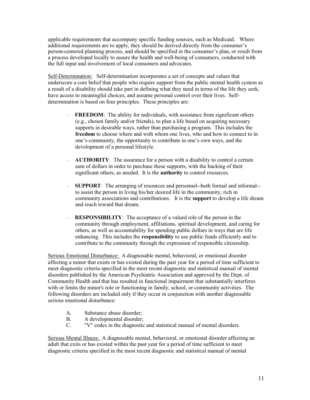applicable requirements that accompany specific funding sources, such as Medicaid. Where additional requirements are to apply, they should be derived directly from the consumer's person-centered planning process, and should be specified in the consumer's plan, or result from a process developed locally to assure the health and well-being of consumers, conducted with the full input and involvement of local consumers and advocates.

Self-Determination: Self-determination incorporates a set of concepts and values that underscore a core belief that people who require support from the public mental health system as a result of a disability should take part in defining what they need in terms of the life they seek, have access to meaningful choices, and assume personal control over their lives. Selfdetermination is based on four principles. These principles are:

- $\cdot$  **FREEDOM**: The ability for individuals, with assistance from significant others (e.g., chosen family and/or friends), to plan a life based on acquiring necessary supports in desirable ways, rather than purchasing a program. This includes the freedom to choose where and with whom one lives, who and how to connect to in one's community, the opportunity to contribute in one's own ways, and the development of a personal lifestyle.
- $\sim$  **AUTHORITY**: The assurance for a person with a disability to control a certain sum of dollars in order to purchase these supports, with the backing of their significant others, as needed. It is the authority to control resources.
- SUPPORT: The arranging of resources and personnel--both formal and informal- to assist the person in living his/her desired life in the community, rich in community associations and contributions. It is the support to develop a life dream and reach toward that dream.
- RESPONSIBILITY: The acceptance of a valued role of the person in the community through employment, affiliations, spiritual development, and caring for others, as well as accountability for spending public dollars in ways that are life enhancing. This includes the **responsibility** to use public funds efficiently and to contribute to the community through the expression of responsible citizenship.

Serious Emotional Disturbance: A diagnosable mental, behavioral, or emotional disorder affecting a minor that exists or has existed during the past year for a period of time sufficient to meet diagnostic criteria specified in the most recent diagnostic and statistical manual of mental disorders published by the American Psychiatric Association and approved by the Dept. of Community Health and that has resulted in functional impairment that substantially interferes with or limits the minor's role or functioning in family, school, or community activities. The following disorders are included only if they occur in conjunction with another diagnosable serious emotional disturbance:

- A. Substance abuse disorder;
- B. A developmental disorder;<br>C. "V" codes in the diagnostic
- "V" codes in the diagnostic and statistical manual of mental disorders.

Serious Mental Illness: A diagnosable mental, behavioral, or emotional disorder affecting an adult that exits or has existed within the past year for a period of time sufficient to meet diagnostic criteria specified in the most recent diagnostic and statistical manual of mental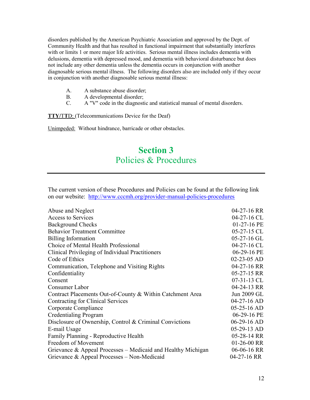disorders published by the American Psychiatric Association and approved by the Dept. of Community Health and that has resulted in functional impairment that substantially interferes with or limits 1 or more major life activities. Serious mental illness includes dementia with delusions, dementia with depressed mood, and dementia with behavioral disturbance but does not include any other dementia unless the dementia occurs in conjunction with another diagnosable serious mental illness. The following disorders also are included only if they occur in conjunction with another diagnosable serious mental illness:

- A. A substance abuse disorder;
- B. A developmental disorder;
- C. A "V" code in the diagnostic and statistical manual of mental disorders.

**TTY/TTD:** (Telecommunications Device for the Deaf)

Unimpeded: Without hindrance, barricade or other obstacles.

## Section 3 Policies & Procedures

The current version of these Procedures and Policies can be found at the following link on our website: http://www.cccmh.org/provider-manual-policies-procedures

| Abuse and Neglect                                            | $04-27-16$ RR |
|--------------------------------------------------------------|---------------|
| <b>Access to Services</b>                                    | 04-27-16 CL   |
| <b>Background Checks</b>                                     | 01-27-16 PE   |
| <b>Behavior Treatment Committee</b>                          | 05-27-15 CL   |
| <b>Billing Information</b>                                   | $05-27-16$ GL |
| Choice of Mental Health Professional                         | 04-27-16 CL   |
| Clinical Privileging of Individual Practitioners             | 06-29-16 PE   |
| Code of Ethics                                               | 02-23-05 AD   |
| Communication, Telephone and Visiting Rights                 | 04-27-16 RR   |
| Confidentiality                                              | 05-27-15 RR   |
| Consent                                                      | $07-31-13$ CL |
| Consumer Labor                                               | 04-24-13 RR   |
| Contract Placements Out-of-County & Within Catchment Area    | Jun 2009 GL   |
| Contracting for Clinical Services                            | $04-27-16$ AD |
| Corporate Compliance                                         | $05-25-16$ AD |
| <b>Credentialing Program</b>                                 | 06-29-16 PE   |
| Disclosure of Ownership, Control & Criminal Convictions      | $06-29-16$ AD |
| E-mail Usage                                                 | $05-29-13$ AD |
| Family Planning - Reproductive Health                        | 05-28-14 RR   |
| Freedom of Movement                                          | $01-26-00$ RR |
| Grievance & Appeal Processes – Medicaid and Healthy Michigan | 06-06-16 RR   |
| Grievance & Appeal Processes – Non-Medicaid                  | $04-27-16$ RR |